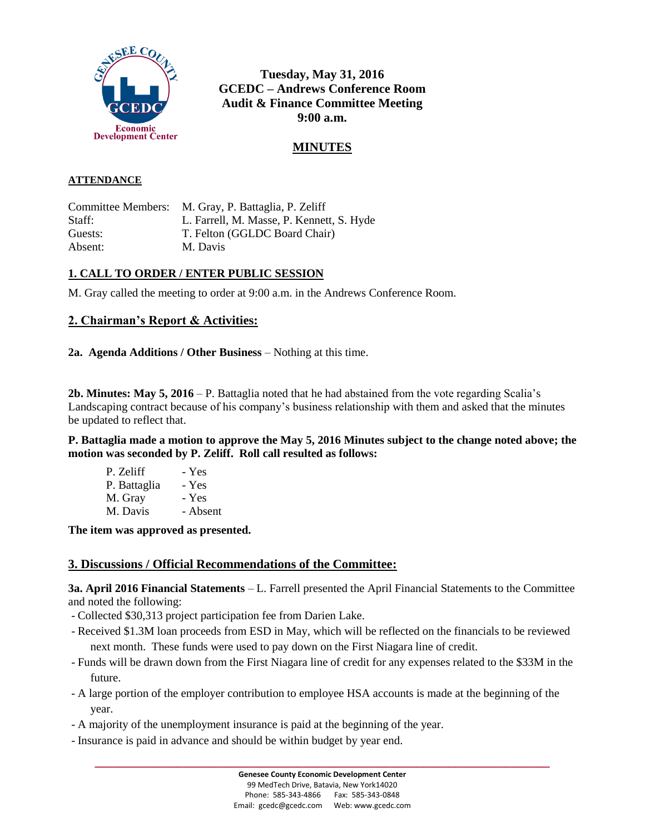

**Tuesday, May 31, 2016 GCEDC – Andrews Conference Room Audit & Finance Committee Meeting 9:00 a.m.**

# **MINUTES**

#### **ATTENDANCE**

Committee Members: M. Gray, P. Battaglia, P. Zeliff Staff: L. Farrell, M. Masse, P. Kennett, S. Hyde Guests: T. Felton (GGLDC Board Chair) Absent: M. Davis

### **1. CALL TO ORDER / ENTER PUBLIC SESSION**

M. Gray called the meeting to order at 9:00 a.m. in the Andrews Conference Room.

## **2. Chairman's Report & Activities:**

**2a. Agenda Additions / Other Business** – Nothing at this time.

**2b. Minutes: May 5, 2016** – P. Battaglia noted that he had abstained from the vote regarding Scalia's Landscaping contract because of his company's business relationship with them and asked that the minutes be updated to reflect that.

**P. Battaglia made a motion to approve the May 5, 2016 Minutes subject to the change noted above; the motion was seconded by P. Zeliff. Roll call resulted as follows:**

| - Yes    |
|----------|
| - Yes    |
| - Yes    |
| - Absent |
|          |

**The item was approved as presented.**

### **3. Discussions / Official Recommendations of the Committee:**

**3a. April 2016 Financial Statements** – L. Farrell presented the April Financial Statements to the Committee and noted the following:

- Collected \$30,313 project participation fee from Darien Lake.
- Received \$1.3M loan proceeds from ESD in May, which will be reflected on the financials to be reviewed next month. These funds were used to pay down on the First Niagara line of credit.
- Funds will be drawn down from the First Niagara line of credit for any expenses related to the \$33M in the future.
- A large portion of the employer contribution to employee HSA accounts is made at the beginning of the year.
- A majority of the unemployment insurance is paid at the beginning of the year.
- Insurance is paid in advance and should be within budget by year end.

**\_\_\_\_\_\_\_\_\_\_\_\_\_\_\_\_\_\_\_\_\_\_\_\_\_\_\_\_\_\_\_\_\_\_\_\_\_\_\_\_\_\_\_\_\_\_\_\_\_\_\_\_\_\_\_\_\_\_\_\_\_\_\_\_\_\_\_\_\_\_\_\_**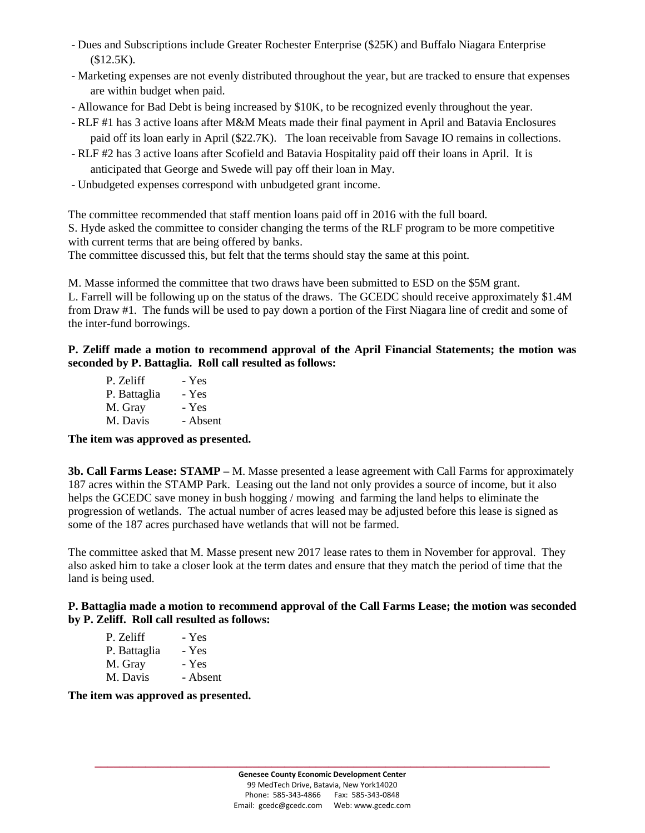- Dues and Subscriptions include Greater Rochester Enterprise (\$25K) and Buffalo Niagara Enterprise (\$12.5K).
- Marketing expenses are not evenly distributed throughout the year, but are tracked to ensure that expenses are within budget when paid.
- Allowance for Bad Debt is being increased by \$10K, to be recognized evenly throughout the year.
- RLF #1 has 3 active loans after M&M Meats made their final payment in April and Batavia Enclosures paid off its loan early in April (\$22.7K). The loan receivable from Savage IO remains in collections.
- RLF #2 has 3 active loans after Scofield and Batavia Hospitality paid off their loans in April. It is anticipated that George and Swede will pay off their loan in May.
- Unbudgeted expenses correspond with unbudgeted grant income.

The committee recommended that staff mention loans paid off in 2016 with the full board. S. Hyde asked the committee to consider changing the terms of the RLF program to be more competitive with current terms that are being offered by banks.

The committee discussed this, but felt that the terms should stay the same at this point.

M. Masse informed the committee that two draws have been submitted to ESD on the \$5M grant. L. Farrell will be following up on the status of the draws. The GCEDC should receive approximately \$1.4M from Draw #1. The funds will be used to pay down a portion of the First Niagara line of credit and some of the inter-fund borrowings.

### **P. Zeliff made a motion to recommend approval of the April Financial Statements; the motion was seconded by P. Battaglia. Roll call resulted as follows:**

| P. Zeliff    | - Yes    |
|--------------|----------|
| P. Battaglia | - Yes    |
| M. Gray      | - Yes    |
| M. Davis     | - Absent |

### **The item was approved as presented.**

**3b. Call Farms Lease: STAMP –** M. Masse presented a lease agreement with Call Farms for approximately 187 acres within the STAMP Park. Leasing out the land not only provides a source of income, but it also helps the GCEDC save money in bush hogging / mowing and farming the land helps to eliminate the progression of wetlands. The actual number of acres leased may be adjusted before this lease is signed as some of the 187 acres purchased have wetlands that will not be farmed.

The committee asked that M. Masse present new 2017 lease rates to them in November for approval. They also asked him to take a closer look at the term dates and ensure that they match the period of time that the land is being used.

#### **P. Battaglia made a motion to recommend approval of the Call Farms Lease; the motion was seconded by P. Zeliff. Roll call resulted as follows:**

| P. Zeliff    | - Yes    |
|--------------|----------|
| P. Battaglia | - Yes    |
| M. Gray      | - Yes    |
| M. Davis     | - Absent |

#### **The item was approved as presented.**

**\_\_\_\_\_\_\_\_\_\_\_\_\_\_\_\_\_\_\_\_\_\_\_\_\_\_\_\_\_\_\_\_\_\_\_\_\_\_\_\_\_\_\_\_\_\_\_\_\_\_\_\_\_\_\_\_\_\_\_\_\_\_\_\_\_\_\_\_\_\_\_\_**